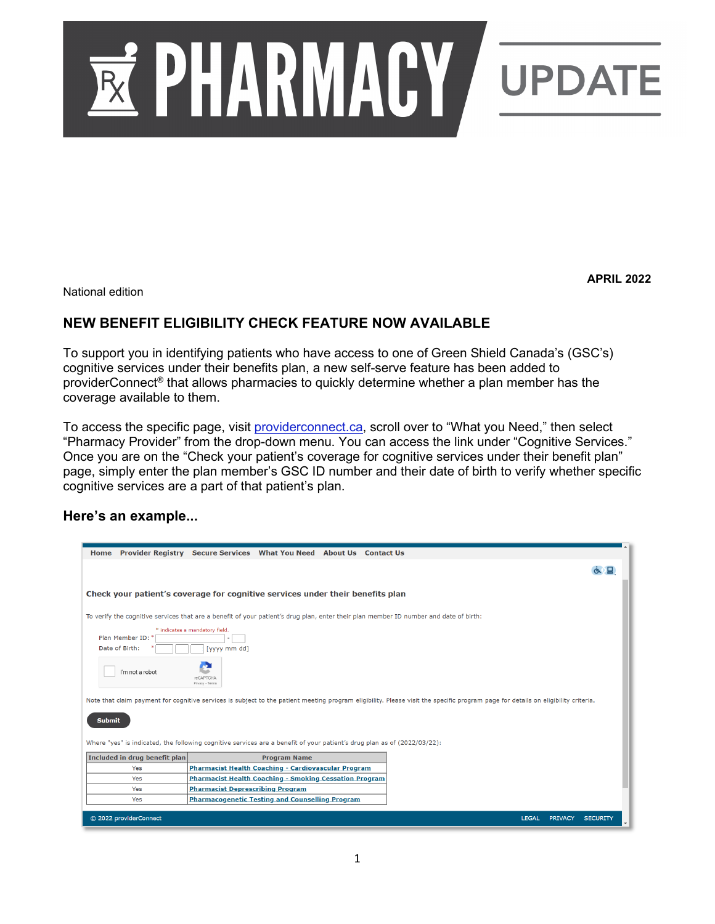

**APRIL 2022**

National edition

# **NEW BENEFIT ELIGIBILITY CHECK FEATURE NOW AVAILABLE**

To support you in identifying patients who have access to one of Green Shield Canada's (GSC's) cognitive services under their benefits plan, a new self-serve feature has been added to providerConnect® that allows pharmacies to quickly determine whether a plan member has the coverage available to them.

To access the specific page, visit providerconnect.ca, scroll over to "What you Need," then select "Pharmacy Provider" from the drop-down menu. You can access the link under "Cognitive Services." Once you are on the "Check your patient's coverage for cognitive services under their benefit plan" page, simply enter the plan member's GSC ID number and their date of birth to verify whether specific cognitive services are a part of that patient's plan.

#### **Here's an example...**

| Home Provider Registry Secure Services What You Need About Us Contact Us                                                                                                                                                                                                                                                                                                                                                                                                        |                                                               |                     |  |  |  |  |  |              |                |                 |  |
|---------------------------------------------------------------------------------------------------------------------------------------------------------------------------------------------------------------------------------------------------------------------------------------------------------------------------------------------------------------------------------------------------------------------------------------------------------------------------------|---------------------------------------------------------------|---------------------|--|--|--|--|--|--------------|----------------|-----------------|--|
|                                                                                                                                                                                                                                                                                                                                                                                                                                                                                 |                                                               |                     |  |  |  |  |  |              |                |                 |  |
| Check your patient's coverage for cognitive services under their benefits plan                                                                                                                                                                                                                                                                                                                                                                                                  |                                                               |                     |  |  |  |  |  |              |                |                 |  |
| To verify the cognitive services that are a benefit of your patient's drug plan, enter their plan member ID number and date of birth:                                                                                                                                                                                                                                                                                                                                           |                                                               |                     |  |  |  |  |  |              |                |                 |  |
| * indicates a mandatory field.<br>Plan Member ID:<br>Date of Birth:<br>[yyyy mm dd]<br>I'm not a robot<br><b>reCAPTCHA</b><br>Privacy - Termo<br>Note that claim payment for cognitive services is subject to the patient meeting program eligibility. Please visit the specific program page for details on eligibility criteria.<br><b>Submit</b><br>Where "yes" is indicated, the following cognitive services are a benefit of your patient's drug plan as of (2022/03/22): |                                                               |                     |  |  |  |  |  |              |                |                 |  |
| Included in drug benefit plan                                                                                                                                                                                                                                                                                                                                                                                                                                                   |                                                               | <b>Program Name</b> |  |  |  |  |  |              |                |                 |  |
| Yes                                                                                                                                                                                                                                                                                                                                                                                                                                                                             | Pharmacist Health Coaching - Cardiovascular Program           |                     |  |  |  |  |  |              |                |                 |  |
| Yes                                                                                                                                                                                                                                                                                                                                                                                                                                                                             | <b>Pharmacist Health Coaching - Smoking Cessation Program</b> |                     |  |  |  |  |  |              |                |                 |  |
| Yes                                                                                                                                                                                                                                                                                                                                                                                                                                                                             | <b>Pharmacist Deprescribing Program</b>                       |                     |  |  |  |  |  |              |                |                 |  |
| Yes                                                                                                                                                                                                                                                                                                                                                                                                                                                                             | <b>Pharmacogenetic Testing and Counselling Program</b>        |                     |  |  |  |  |  |              |                |                 |  |
| © 2022 providerConnect                                                                                                                                                                                                                                                                                                                                                                                                                                                          |                                                               |                     |  |  |  |  |  | <b>LEGAL</b> | <b>PRIVACY</b> | <b>SECURITY</b> |  |